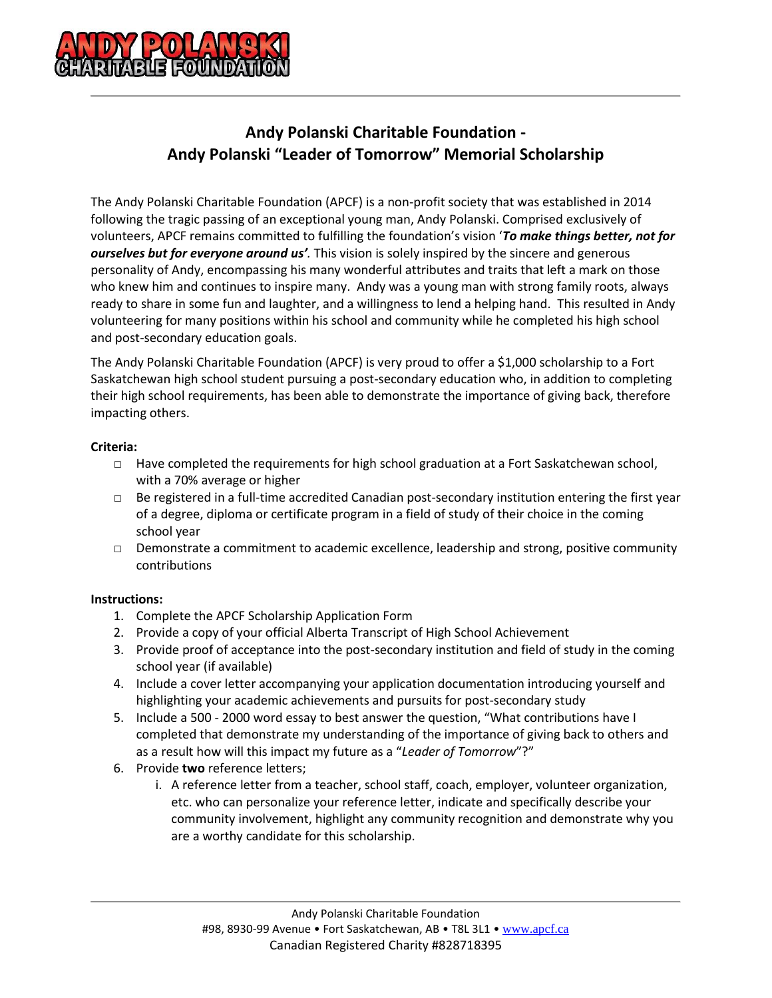

## **Andy Polanski Charitable Foundation - Andy Polanski "Leader of Tomorrow" Memorial Scholarship**

The Andy Polanski Charitable Foundation (APCF) is a non-profit society that was established in 2014 following the tragic passing of an exceptional young man, Andy Polanski. Comprised exclusively of volunteers, APCF remains committed to fulfilling the foundation's vision '*To make things better, not for ourselves but for everyone around us'.* This vision is solely inspired by the sincere and generous personality of Andy, encompassing his many wonderful attributes and traits that left a mark on those who knew him and continues to inspire many. Andy was a young man with strong family roots, always ready to share in some fun and laughter, and a willingness to lend a helping hand. This resulted in Andy volunteering for many positions within his school and community while he completed his high school and post-secondary education goals.

The Andy Polanski Charitable Foundation (APCF) is very proud to offer a \$1,000 scholarship to a Fort Saskatchewan high school student pursuing a post-secondary education who, in addition to completing their high school requirements, has been able to demonstrate the importance of giving back, therefore impacting others.

#### **Criteria:**

- $\Box$  Have completed the requirements for high school graduation at a Fort Saskatchewan school, with a 70% average or higher
- □ Be registered in a full-time accredited Canadian post-secondary institution entering the first year of a degree, diploma or certificate program in a field of study of their choice in the coming school year
- $\Box$  Demonstrate a commitment to academic excellence, leadership and strong, positive community contributions

### **Instructions:**

- 1. Complete the APCF Scholarship Application Form
- 2. Provide a copy of your official Alberta Transcript of High School Achievement
- 3. Provide proof of acceptance into the post-secondary institution and field of study in the coming school year (if available)
- 4. Include a cover letter accompanying your application documentation introducing yourself and highlighting your academic achievements and pursuits for post-secondary study
- 5. Include a 500 2000 word essay to best answer the question, "What contributions have I completed that demonstrate my understanding of the importance of giving back to others and as a result how will this impact my future as a "*Leader of Tomorrow*"?"
- 6. Provide **two** reference letters;
	- i. A reference letter from a teacher, school staff, coach, employer, volunteer organization, etc. who can personalize your reference letter, indicate and specifically describe your community involvement, highlight any community recognition and demonstrate why you are a worthy candidate for this scholarship.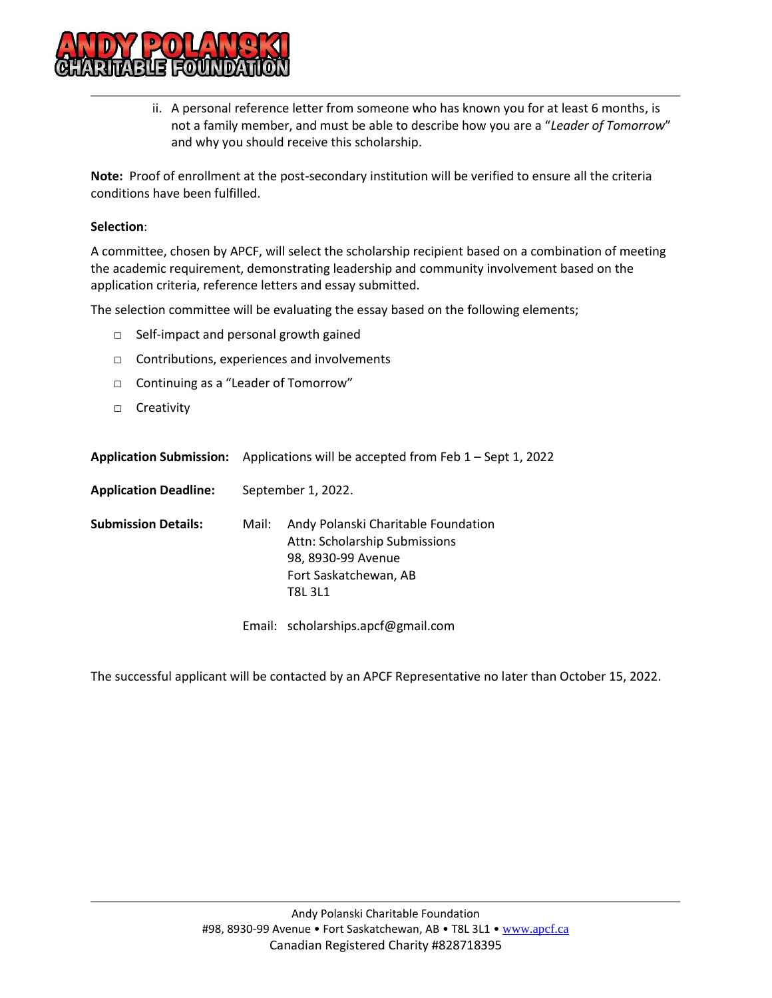

ii. A personal reference letter from someone who has known you for at least 6 months, is not a family member, and must be able to describe how you are a "*Leader of Tomorrow*" and why you should receive this scholarship.

**Note:** Proof of enrollment at the post-secondary institution will be verified to ensure all the criteria conditions have been fulfilled.

#### **Selection**:

A committee, chosen by APCF, will select the scholarship recipient based on a combination of meeting the academic requirement, demonstrating leadership and community involvement based on the application criteria, reference letters and essay submitted.

The selection committee will be evaluating the essay based on the following elements;

- □ Self-impact and personal growth gained
- □ Contributions, experiences and involvements
- □ Continuing as a "Leader of Tomorrow"
- □ Creativity

|                              | <b>Application Submission:</b> Applications will be accepted from Feb $1 -$ Sept 1, 2022 |                                                                                                                                       |  |
|------------------------------|------------------------------------------------------------------------------------------|---------------------------------------------------------------------------------------------------------------------------------------|--|
| <b>Application Deadline:</b> | September 1, 2022.                                                                       |                                                                                                                                       |  |
| <b>Submission Details:</b>   | Mail:                                                                                    | Andy Polanski Charitable Foundation<br>Attn: Scholarship Submissions<br>98, 8930-99 Avenue<br>Fort Saskatchewan, AB<br><b>T8L 3L1</b> |  |
|                              |                                                                                          | Email: scholarships.apcf@gmail.com                                                                                                    |  |

The successful applicant will be contacted by an APCF Representative no later than October 15, 2022.